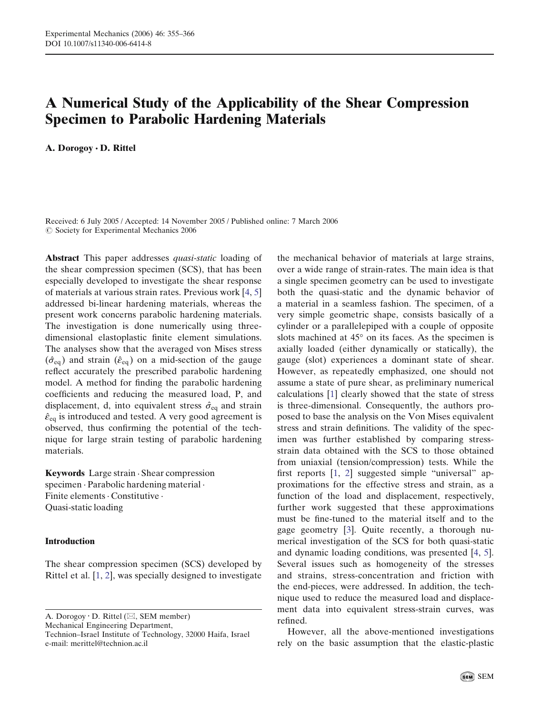# A Numerical Study of the Applicability of the Shear Compression Specimen to Parabolic Hardening Materials

A. Dorogoy · D. Rittel

Received: 6 July 2005 / Accepted: 14 November 2005 / Published online: 7 March 2006  $\oslash$  Society for Experimental Mechanics 2006

Abstract This paper addresses *quasi-static* loading of the shear compression specimen (SCS), that has been especially developed to investigate the shear response of materials at various strain rates. Previous work [4, 5] addressed bi-linear hardening materials, whereas the present work concerns parabolic hardening materials. The investigation is done numerically using threedimensional elastoplastic finite element simulations. The analyses show that the averaged von Mises stress  $(\hat{\sigma}_{eq})$  and strain  $(\hat{\varepsilon}_{eq})$  on a mid-section of the gauge reflect accurately the prescribed parabolic hardening model. A method for finding the parabolic hardening coefficients and reducing the measured load, P, and displacement, d, into equivalent stress  $\hat{\sigma}_{eq}$  and strain  $\hat{\epsilon}_{eq}$  is introduced and tested. A very good agreement is observed, thus confirming the potential of the technique for large strain testing of parabolic hardening materials.

Keywords Large strain . Shear compression specimen . Parabolic hardening material . Finite elements · Constitutive · Quasi-static loading

# Introduction

The shear compression specimen (SCS) developed by Rittel et al. [1, 2], was specially designed to investigate

A. Dorogoy · D. Rittel ( $\boxtimes$ , SEM member) Mechanical Engineering Department, Technion–Israel Institute of Technology, 32000 Haifa, Israel e-mail: merittel@technion.ac.il

the mechanical behavior of materials at large strains, over a wide range of strain-rates. The main idea is that a single specimen geometry can be used to investigate both the quasi-static and the dynamic behavior of a material in a seamless fashion. The specimen, of a very simple geometric shape, consists basically of a cylinder or a parallelepiped with a couple of opposite slots machined at  $45^{\circ}$  on its faces. As the specimen is axially loaded (either dynamically or statically), the gauge (slot) experiences a dominant state of shear. However, as repeatedly emphasized, one should not assume a state of pure shear, as preliminary numerical calculations [1] clearly showed that the state of stress is three-dimensional. Consequently, the authors proposed to base the analysis on the Von Mises equivalent stress and strain definitions. The validity of the specimen was further established by comparing stressstrain data obtained with the SCS to those obtained from uniaxial (tension/compression) tests. While the first reports  $[1, 2]$  suggested simple "universal" approximations for the effective stress and strain, as a function of the load and displacement, respectively, further work suggested that these approximations must be fine-tuned to the material itself and to the gage geometry [3]. Quite recently, a thorough numerical investigation of the SCS for both quasi-static and dynamic loading conditions, was presented [4, 5]. Several issues such as homogeneity of the stresses and strains, stress-concentration and friction with the end-pieces, were addressed. In addition, the technique used to reduce the measured load and displacement data into equivalent stress-strain curves, was refined.

However, all the above-mentioned investigations rely on the basic assumption that the elastic-plastic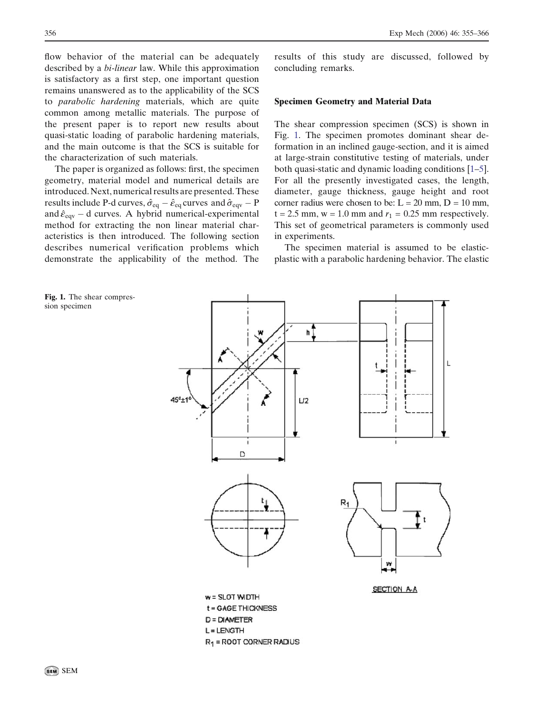<span id="page-1-0"></span>flow behavior of the material can be adequately described by a bi-linear law. While this approximation is satisfactory as a first step, one important question remains unanswered as to the applicability of the SCS to parabolic hardening materials, which are quite common among metallic materials. The purpose of the present paper is to report new results about quasi-static loading of parabolic hardening materials, and the main outcome is that the SCS is suitable for the characterization of such materials.

The paper is organized as follows: first, the specimen geometry, material model and numerical details are introduced. Next, numerical results are presented. These results include P-d curves,  $\hat{\sigma}_{eq} - \hat{\epsilon}_{eq}$  curves and  $\hat{\sigma}_{eqv} - P$ and  $\hat{\epsilon}_{eqv}$  – d curves. A hybrid numerical-experimental method for extracting the non linear material characteristics is then introduced. The following section describes numerical verification problems which demonstrate the applicability of the method. The

Fig. 1. The shear compression specimen

results of this study are discussed, followed by concluding remarks.

#### Specimen Geometry and Material Data

The shear compression specimen (SCS) is shown in Fig. 1. The specimen promotes dominant shear deformation in an inclined gauge-section, and it is aimed at large-strain constitutive testing of materials, under both quasi-static and dynamic loading conditions [1–5]. For all the presently investigated cases, the length, diameter, gauge thickness, gauge height and root corner radius were chosen to be:  $L = 20$  mm,  $D = 10$  mm,  $t = 2.5$  mm,  $w = 1.0$  mm and  $r_1 = 0.25$  mm respectively. This set of geometrical parameters is commonly used in experiments.

The specimen material is assumed to be elasticplastic with a parabolic hardening behavior. The elastic

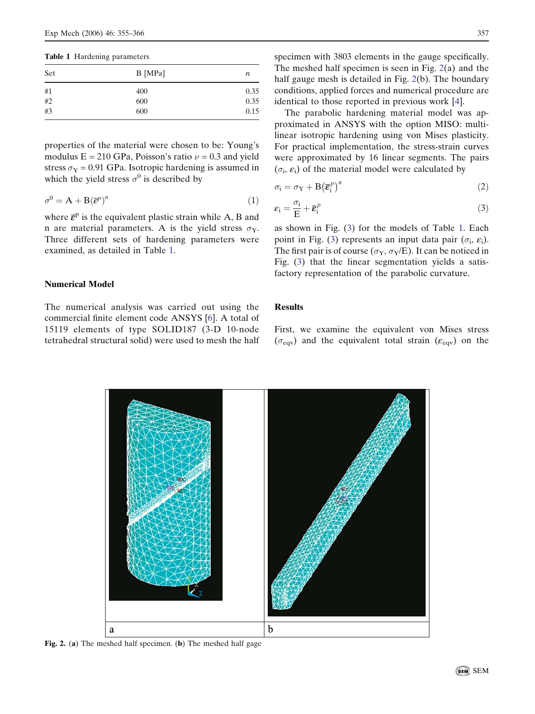<span id="page-2-0"></span>Table 1 Hardening parameters

| Set | $B$ [MPa] | n    |
|-----|-----------|------|
| #1  | 400       | 0.35 |
| #2  | 600       | 0.35 |
| #3  | 600       | 0.15 |

properties of the material were chosen to be: Young's modulus  $E = 210$  GPa, Poisson's ratio  $\nu = 0.3$  and yield stress  $\sigma_Y$  = 0.91 GPa. Isotropic hardening is assumed in which the yield stress  $\sigma^0$  is described by

$$
\sigma^0 = A + B(\overline{\varepsilon}^p)^n \tag{1}
$$

where  $\bar{\epsilon}^p$  is the equivalent plastic strain while A, B and n are material parameters. A is the yield stress  $\sigma_Y$ . Three different sets of hardening parameters were examined, as detailed in Table 1.

## Numerical Model

The numerical analysis was carried out using the commercial finite element code ANSYS [6]. A total of 15119 elements of type SOLID187 (3-D 10-node tetrahedral structural solid) were used to mesh the half specimen with 3803 elements in the gauge specifically. The meshed half specimen is seen in Fig. 2(a) and the half gauge mesh is detailed in Fig. 2(b). The boundary conditions, applied forces and numerical procedure are identical to those reported in previous work [4].

The parabolic hardening material model was approximated in ANSYS with the option MISO: multilinear isotropic hardening using von Mises plasticity. For practical implementation, the stress-strain curves were approximated by 16 linear segments. The pairs  $(\sigma_i, \varepsilon_i)$  of the material model were calculated by

$$
\sigma_{i} = \sigma_{Y} + B \left(\overline{\boldsymbol{\varepsilon}}_{i}^{p}\right)^{n} \tag{2}
$$

$$
\varepsilon_{\rm i} = \frac{\sigma_{\rm i}}{\rm E} + \overline{\varepsilon}_{\rm i}^p \tag{3}
$$

as shown in Fig. [\(3](#page-3-0)) for the models of Table 1. Each point in Fig. ([3\)](#page-3-0) represents an input data pair  $(\sigma_i, \varepsilon_i)$ . The first pair is of course ( $\sigma_Y$ ,  $\sigma_Y$ /E). It can be noticed in Fig. ([3\)](#page-3-0) that the linear segmentation yields a satisfactory representation of the parabolic curvature.

### **Results**

First, we examine the equivalent von Mises stress  $(\sigma_{\text{eqv}})$  and the equivalent total strain  $(\varepsilon_{\text{eqv}})$  on the



Fig. 2. (a) The meshed half specimen. (b) The meshed half gage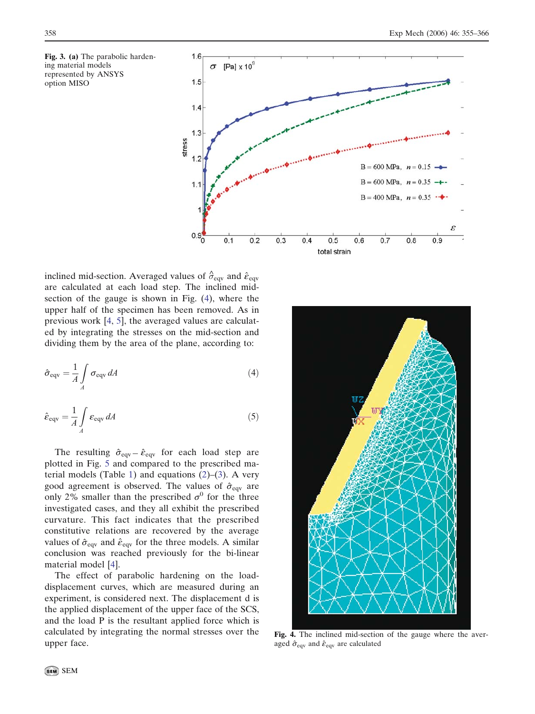<span id="page-3-0"></span>



inclined mid-section. Averaged values of  $\hat{\sigma}_{\text{eqv}}$  and  $\hat{\varepsilon}_{\text{eqv}}$ are calculated at each load step. The inclined midsection of the gauge is shown in Fig. (4), where the upper half of the specimen has been removed. As in previous work [4, 5], the averaged values are calculated by integrating the stresses on the mid-section and dividing them by the area of the plane, according to:

$$
\hat{\sigma}_{\text{eqv}} = \frac{1}{A} \int_{A} \sigma_{\text{eqv}} dA \tag{4}
$$

$$
\hat{\varepsilon}_{\text{eqv}} = \frac{1}{A} \int_{A} \varepsilon_{\text{eqv}} dA \tag{5}
$$

The resulting  $\hat{\sigma}_{\text{eqv}} - \hat{\varepsilon}_{\text{eqv}}$  for each load step are plotted in Fig. [5](#page-4-0) and compared to the prescribed ma-terial models (Table [1\)](#page-2-0) and equations  $(2)$  $(2)$ – $(3)$  $(3)$ . A very good agreement is observed. The values of  $\hat{\sigma}_{\text{eqv}}$  are only 2% smaller than the prescribed  $\sigma^0$  for the three investigated cases, and they all exhibit the prescribed curvature. This fact indicates that the prescribed constitutive relations are recovered by the average values of  $\hat{\sigma}_{\text{eqv}}$  and  $\hat{\varepsilon}_{\text{eqv}}$  for the three models. A similar conclusion was reached previously for the bi-linear material model [4].

The effect of parabolic hardening on the loaddisplacement curves, which are measured during an experiment, is considered next. The displacement d is the applied displacement of the upper face of the SCS, and the load P is the resultant applied force which is calculated by integrating the normal stresses over the upper face.



Fig. 4. The inclined mid-section of the gauge where the averaged  $\hat{\sigma}_{\text{eqv}}$  and  $\hat{\varepsilon}_{\text{eqv}}$  are calculated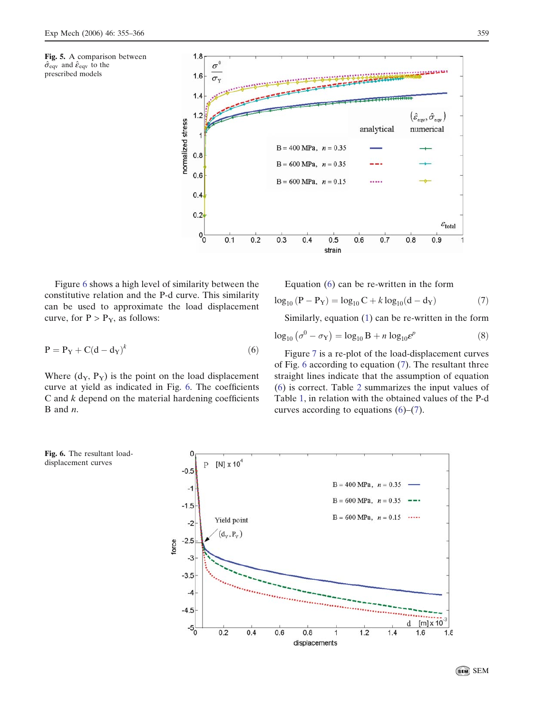<span id="page-4-0"></span>



Figure 6 shows a high level of similarity between the constitutive relation and the P-d curve. This similarity can be used to approximate the load displacement curve, for  $P > P<sub>Y</sub>$ , as follows:

$$
P = P_Y + C(d - d_Y)^k
$$
 (6)

Where  $(d_Y, P_Y)$  is the point on the load displacement curve at yield as indicated in Fig. 6. The coefficients  $C$  and  $k$  depend on the material hardening coefficients  $B$  and  $n$ .

Equation 
$$
(6)
$$
 can be re-written in the form

$$
\log_{10} (P - P_Y) = \log_{10} C + k \log_{10} (d - d_Y)
$$
 (7)

Similarly, equation [\(1](#page-2-0)) can be re-written in the form

$$
\log_{10} \left( \sigma^0 - \sigma_Y \right) = \log_{10} B + n \log_{10} \varepsilon^p \tag{8}
$$

Figure [7](#page-5-0) is a re-plot of the load-displacement curves of Fig. 6 according to equation (7). The resultant three straight lines indicate that the assumption of equation (6) is correct. Table [2](#page-5-0) summarizes the input values of Table [1](#page-2-0), in relation with the obtained values of the P-d curves according to equations  $(6)$ – $(7)$ .

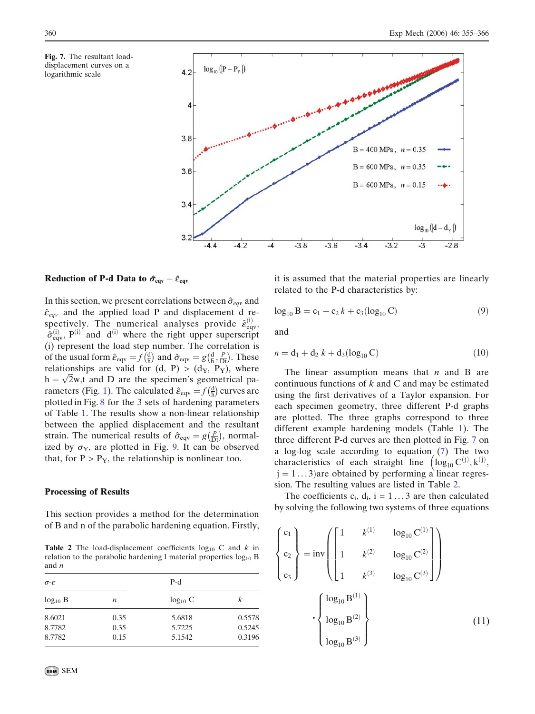<span id="page-5-0"></span>



Reduction of P-d Data to  $\hat{\sigma}_{eqv} - \hat{\epsilon}_{eqv}$ 

In this section, we present correlations between  $\hat{\sigma}_{eqv}$  and  $\hat{\epsilon}_{eqv}$  and the applied load P and displacement d respectively. The numerical analyses provide  $\hat{\varepsilon}^{(i)}_{\text{eqv}}$ ,  $\hat{\sigma}_{\text{eqv}}^{(i)}$ ,  $P^{(i)}$  and  $d^{(i)}$  where the right upper superscript (i) represent the load step number. The correlation is of the usual form  $\hat{\epsilon}_{\text{eqv}} = f\left(\frac{d}{h}\right)$  $\left(\frac{d}{h}\right)$  and  $\hat{\sigma}_{eqv} = g\left(\frac{d}{h}, \frac{P}{Dt}\right)$ . These relationships are valid for  $(d, P) > (d_Y, P_Y)$ , where relationships are valid for  $(a, r) > (a_Y, r_Y)$ , where  $h = \sqrt{2}w$ , and D are the specimen's geometrical pa-rameters (Fig. [1](#page-1-0)). The calculated  $\hat{\varepsilon}_{\text{eqv}} = f(\frac{d}{dh})$  $\left(\frac{d}{b}\right)$  curves are plotted in Fig. [8](#page-6-0) for the 3 sets of hardening parameters of Table [1](#page-2-0). The results show a non-linear relationship between the applied displacement and the resultant strain. The numerical results of  $\hat{\sigma}_{eqv} = g(\frac{p}{Dt})$ , normalized by  $\sigma_Y$ , are plotted in Fig. 9. It can be observed that, for  $P > P_Y$ , the relationship is nonlinear too.

#### Processing of Results

This section provides a method for the determination of B and n of the parabolic hardening equation. Firstly,

**Table 2** The load-displacement coefficients  $log_{10} C$  and k in relation to the parabolic hardening l material properties  $log_{10} B$ and n

| $\sigma$ - $\varepsilon$ |      | $P-d$        |        |  |
|--------------------------|------|--------------|--------|--|
| $log_{10} B$<br>n        |      | $log_{10} C$ | k      |  |
| 8.6021                   | 0.35 | 5.6818       | 0.5578 |  |
| 8.7782                   | 0.35 | 5.7225       | 0.5245 |  |
| 8.7782                   | 0.15 | 5.1542       | 0.3196 |  |

it is assumed that the material properties are linearly related to the P-d characteristics by:

$$
\log_{10} B = c_1 + c_2 k + c_3 (\log_{10} C) \tag{9}
$$

and

$$
n = d_1 + d_2 k + d_3(\log_{10} C)
$$
 (10)

The linear assumption means that  $n$  and B are continuous functions of  $k$  and  $C$  and may be estimated using the first derivatives of a Taylor expansion. For each specimen geometry, three different P-d graphs are plotted. The three graphs correspond to three different example hardening models (Table [1](#page-2-0)). The three different P-d curves are then plotted in Fig. 7 on a log-log scale according to equation [\(7](#page-4-0)) The two characteristics of each straight line  $(\log_{10} C^{(i)}, k^{(j)},$  $j = 1...3$ ) are obtained by performing a linear regression. The resulting values are listed in Table 2.

The coefficients  $c_i$ ,  $d_i$ ,  $i = 1...3$  are then calculated by solving the following two systems of three equations

$$
\begin{Bmatrix} c_1 \ c_2 \ c_3 \end{Bmatrix} = inv \begin{bmatrix} 1 & k^{(1)} & log_{10} C^{(1)} \ 1 & k^{(2)} & log_{10} C^{(2)} \ 1 & k^{(3)} & log_{10} C^{(3)} \end{bmatrix}
$$

$$
\cdot \begin{Bmatrix} log_{10} B^{(1)} \ log_{10} B^{(2)} \ log_{10} B^{(3)} \end{Bmatrix}
$$
(11)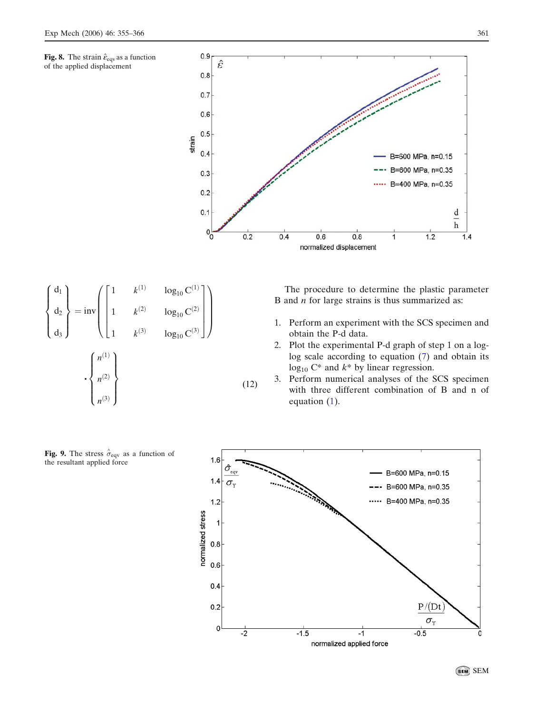<span id="page-6-0"></span>Fig. 8. The strain  $\hat{\varepsilon}_{\text{eqv}}$  as a function of the applied displacement





The procedure to determine the plastic parameter B and  $n$  for large strains is thus summarized as:

- 1. Perform an experiment with the SCS specimen and obtain the P-d data.
- 2. Plot the experimental P-d graph of step 1 on a loglog scale according to equation [\(7](#page-4-0)) and obtain its  $log_{10} C^*$  and  $k^*$  by linear regression.
- 3. Perform numerical analyses of the SCS specimen with three different combination of B and n of equation [\(1](#page-2-0)).



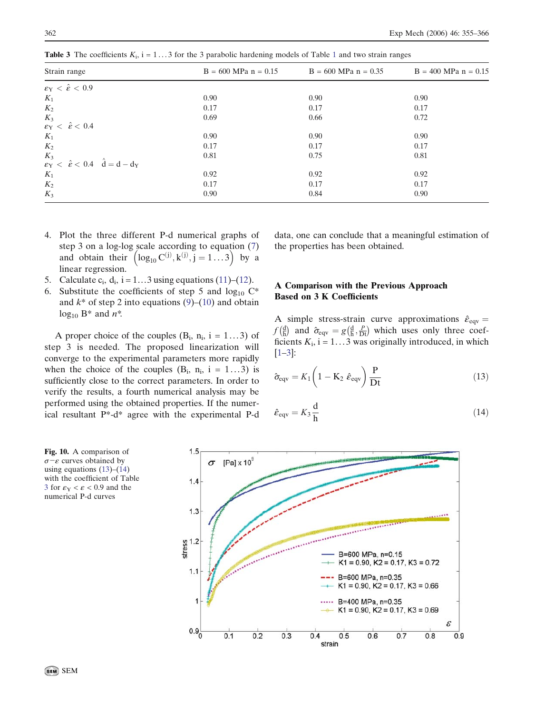| Strain range                                                                                                                                                | $B = 600$ MPa $n = 0.15$ | $B = 600$ MPa $n = 0.35$ | $B = 400$ MPa $n = 0.15$ |  |
|-------------------------------------------------------------------------------------------------------------------------------------------------------------|--------------------------|--------------------------|--------------------------|--|
| $\varepsilon_{\rm Y} < \hat{\varepsilon} < 0.9$                                                                                                             |                          |                          |                          |  |
| $K_1$                                                                                                                                                       | 0.90                     | 0.90                     | 0.90                     |  |
| $K_2$                                                                                                                                                       | 0.17                     | 0.17                     | 0.17                     |  |
|                                                                                                                                                             | 0.69                     | 0.66                     | 0.72                     |  |
| $\begin{array}{l} K_3 \\ \varepsilon_{\rm Y} \ < \ \hat{\varepsilon} < \ 0.4 \end{array}$                                                                   |                          |                          |                          |  |
| $K_1$                                                                                                                                                       | 0.90                     | 0.90                     | 0.90                     |  |
| $K_2$                                                                                                                                                       | 0.17                     | 0.17                     | 0.17                     |  |
|                                                                                                                                                             | 0.81                     | 0.75                     | 0.81                     |  |
| $\begin{array}{l} K_3 \\ \varepsilon_\mathrm{Y} \ < \ \hat{\varepsilon} < \ 0.4 \quad \, \hat{\mathrm{d}} = \mathrm{d} - \mathrm{d}_\mathrm{Y} \end{array}$ |                          |                          |                          |  |
| $K_1$                                                                                                                                                       | 0.92                     | 0.92                     | 0.92                     |  |
| $K_2$                                                                                                                                                       | 0.17                     | 0.17                     | 0.17                     |  |
| $K_3$                                                                                                                                                       | 0.90                     | 0.84                     | 0.90                     |  |

<span id="page-7-0"></span>**Table 3** The coefficients  $K_i$ ,  $i = 1...3$  $i = 1...3$  $i = 1...3$  for the 3 parabolic hardening models of Table 1 and two strain ranges

- 4. Plot the three different P-d numerical graphs of step 3 on a log-log scale according to equation ([7\)](#page-4-0) and obtain their  $\left( \log_{10} C^{(j)}, k^{(j)}, j = 1...3 \right)$  by a linear regression.
- 5. Calculate  $c_i$ ,  $d_i$ ,  $i = 1...3$  using equations [\(11\)](#page-5-0)–([12\)](#page-6-0).
- 6. Substitute the coefficients of step 5 and  $log_{10} C^*$ and  $k^*$  of step 2 into equations ([9\)](#page-5-0)–([10\)](#page-5-0) and obtain  $log_{10} B^*$  and  $n^*$ .

A proper choice of the couples  $(B_i, n_i, i = 1...3)$  of step 3 is needed. The proposed linearization will converge to the experimental parameters more rapidly when the choice of the couples  $(B_i, n_i, i = 1...3)$  is sufficiently close to the correct parameters. In order to verify the results, a fourth numerical analysis may be performed using the obtained properties. If the numerical resultant P\*-d\* agree with the experimental P-d data, one can conclude that a meaningful estimation of the properties has been obtained.

# A Comparison with the Previous Approach Based on 3 K Coefficients

A simple stress-strain curve approximations  $\hat{\varepsilon}_{eqv} =$  $f\left(\frac{d}{h}\right)$  $\left(\frac{d}{h}\right)$  and  $\hat{\sigma}_{eqv} = g\left(\frac{d}{h}, \frac{P}{Dt}\right)$  which uses only three coefficients  $K_i$ ,  $i = 1...3$  was originally introduced, in which [1–3]:

$$
\hat{\sigma}_{\text{eqv}} = K_1 \left( 1 - \mathbf{K}_2 \ \hat{\varepsilon}_{\text{eqv}} \right) \frac{\mathbf{P}}{\mathbf{D} \mathbf{t}}
$$
(13)

$$
\hat{\varepsilon}_{\text{eqv}} = K_3 \frac{\text{d}}{\text{h}} \tag{14}
$$

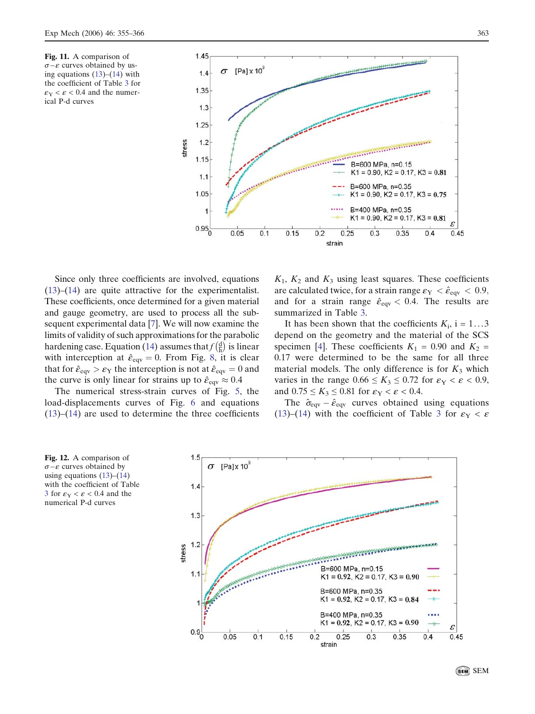<span id="page-8-0"></span>Fig. 11. A comparison of  $\sigma-\varepsilon$  curves obtained by using equations [\(13\)](#page-7-0)–([14](#page-7-0)) with the coefficient of Table [3](#page-7-0) for  $\epsilon_{\rm Y} < \epsilon < 0.4$  and the numerical P-d curves



Since only three coefficients are involved, equations [\(13](#page-7-0))–[\(14](#page-7-0)) are quite attractive for the experimentalist. These coefficients, once determined for a given material and gauge geometry, are used to process all the subsequent experimental data [7]. We will now examine the limits of validity of such approximations for the parabolic hardening case. Equation ([14](#page-7-0)) assumes that  $f(\frac{d}{h})$  $\left(\frac{d}{b}\right)$  is linear with interception at  $\hat{\epsilon}_{eqv} = 0$ . From Fig. [8,](#page-6-0) it is clear that for  $\hat{\epsilon}_{eqv} > \epsilon_Y$  the interception is not at  $\hat{\epsilon}_{eqv} = 0$  and the curve is only linear for strains up to  $\hat{\varepsilon}_{\text{eqv}} \approx 0.4$ .

The numerical stress-strain curves of Fig. [5](#page-4-0), the load-displacements curves of Fig. [6](#page-4-0) and equations  $(13)$  $(13)$ – $(14)$  $(14)$  are used to determine the three coefficients  $K_1$ ,  $K_2$  and  $K_3$  using least squares. These coefficients are calculated twice, for a strain range  $\varepsilon_{\rm Y} < \hat{\varepsilon}_{\rm eqv} < 0.9$ , and for a strain range  $\hat{\epsilon}_{eqv} < 0.4$ . The results are summarized in Table [3](#page-7-0).

It has been shown that the coefficients  $K_i$ , i = 1...3 depend on the geometry and the material of the SCS specimen [4]. These coefficients  $K_1 = 0.90$  and  $K_2 =$ 0.17 were determined to be the same for all three material models. The only difference is for  $K_3$  which varies in the range  $0.66 \le K_3 \le 0.72$  for  $\varepsilon_{\rm Y} < \varepsilon < 0.9$ , and  $0.75 \leq K_3 \leq 0.81$  for  $\varepsilon_{\rm Y} < \varepsilon < 0.4$ .

The  $\hat{\sigma}_{eqv} - \hat{\epsilon}_{eqv}$  curves obtained using equations ([13\)](#page-7-0)–[\(14](#page-7-0)) with the coefficient of Table [3](#page-7-0) for  $\varepsilon_Y < \varepsilon$ 

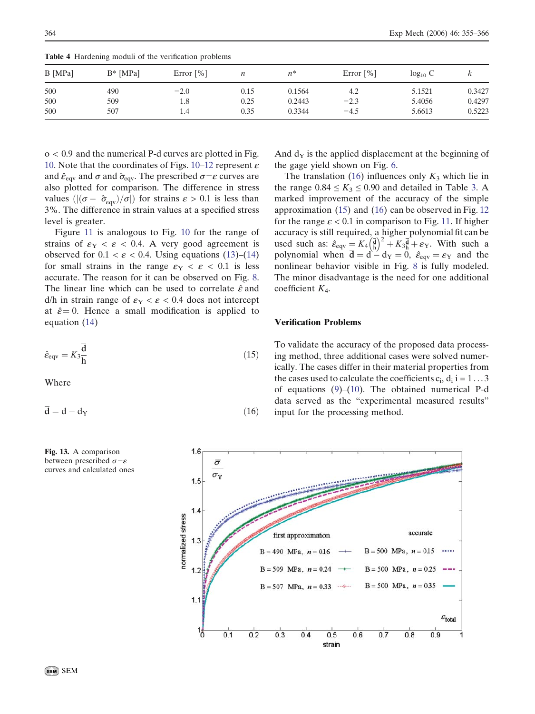| B [MPa] | $B^*$ [MPa] | Error $\lceil\% \rceil$ | n    | $n^*$  | Error $\lceil\% \rceil$ | $log_{10} C$ | κ      |
|---------|-------------|-------------------------|------|--------|-------------------------|--------------|--------|
| 500     | 490         | $-2.0$                  | 0.15 | 0.1564 | 4.2                     | 5.1521       | 0.3427 |
| 500     | 509         | 1.8                     | 0.25 | 0.2443 | $-2.3$                  | 5.4056       | 0.4297 |
| 500     | 507         | 1.4                     | 0.35 | 0.3344 | $-4.5$                  | 5.6613       | 0.5223 |

<span id="page-9-0"></span>Table 4 Hardening moduli of the verification problems

o < 0.9 and the numerical P-d curves are plotted in Fig. [10.](#page-7-0) Note that the coordinates of Figs. [10–](#page-7-0)[12](#page-8-0) represent  $\varepsilon$ and  $\hat{\epsilon}_{\text{eqv}}$  and  $\sigma$  and  $\hat{\sigma}_{\text{eqv}}$ . The prescribed  $\sigma-\epsilon$  curves are also plotted for comparison. The difference in stress values  $(|(\sigma - \hat{\sigma}_{\text{eav}})/\sigma|)$  for strains  $\varepsilon > 0.1$  is less than 3%. The difference in strain values at a specified stress level is greater.

Figure [11](#page-8-0) is analogous to Fig. [10](#page-7-0) for the range of strains of  $\varepsilon_Y < \varepsilon < 0.4$ . A very good agreement is observed for  $0.1 < \varepsilon < 0.4$ . Using equations [\(13](#page-7-0))–([14\)](#page-7-0) for small strains in the range  $\varepsilon_{Y} < \varepsilon < 0.1$  is less accurate. The reason for it can be observed on Fig. [8](#page-6-0). The linear line which can be used to correlate  $\hat{\varepsilon}$  and  $d/h$  in strain range of  $\varepsilon_Y < \varepsilon < 0.4$  does not intercept at  $\hat{\epsilon} = 0$ . Hence a small modification is applied to equation ([14\)](#page-7-0)

$$
\hat{\varepsilon}_{\text{eqv}} = K_3 \frac{\overline{\mathbf{d}}}{\mathbf{h}} \tag{15}
$$

Where

$$
\overline{\mathbf{d}} = \mathbf{d} - \mathbf{d}_{\mathbf{Y}} \tag{16}
$$



Fig. 13. A comparison between prescribed  $\sigma-\varepsilon$ curves and calculated ones To validate the accuracy of the proposed data processing method, three additional cases were solved numerically. The cases differ in their material properties from the cases used to calculate the coefficients  $c_i$ ,  $d_i$  i = 1...3 of equations [\(9](#page-5-0))–([10](#page-5-0)). The obtained numerical P-d data served as the "experimental measured results" input for the processing method.

And  $d<sub>y</sub>$  is the applied displacement at the beginning of

The translation (16) influences only  $K_3$  which lie in the range  $0.84 \le K_3 \le 0.90$  $0.84 \le K_3 \le 0.90$  $0.84 \le K_3 \le 0.90$  and detailed in Table 3. A marked improvement of the accuracy of the simple approximation (15) and (16) can be observed in Fig. [12](#page-8-0) for the range  $\varepsilon$  < 0.1 in comparison to Fig. [11](#page-8-0). If higher accuracy is still required, a higher polynomial fit can be used such as:  $\hat{\epsilon}_{\text{eqv}} = K_4 \left(\frac{d}{b}\right)^2 + K_3 \frac{d}{b} + \epsilon_Y$ . With such a polynomial when  $\overline{\mathbf{d}} = \mathbf{d} - \mathbf{d}_Y = 0$ ,  $\hat{\varepsilon}_{eqy} = \varepsilon_Y$  and the nonlinear behavior visible in Fig. [8](#page-6-0) is fully modeled. The minor disadvantage is the need for one additional

the gage yield shown on Fig. [6](#page-4-0).

coefficient  $K_4$ .

Verification Problems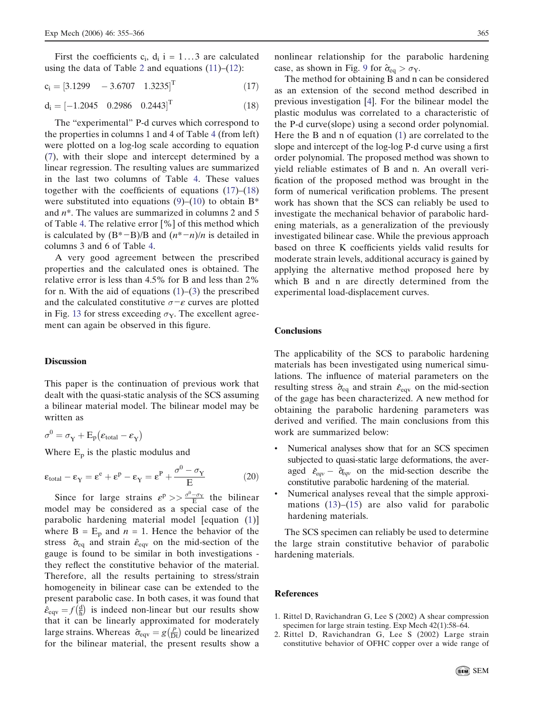First the coefficients  $c_i$ ,  $d_i$  i = 1...3 are calculated using the data of Table [2](#page-5-0) and equations  $(11)$  $(11)$ – $(12)$  $(12)$ :

 $c_i = [3.1299 - 3.6707 1.3235]^T$  (17)

$$
d_i = [-1.2045 \quad 0.2986 \quad 0.2443]^T
$$
 (18)

The "experimental" P-d curves which correspond to the properties in columns 1 and 4 of Table [4](#page-9-0) (from left) were plotted on a log-log scale according to equation [\(7](#page-4-0)), with their slope and intercept determined by a linear regression. The resulting values are summarized in the last two columns of Table [4.](#page-9-0) These values together with the coefficients of equations (17)–(18) were substituted into equations  $(9)$  $(9)$ – $(10)$  $(10)$  to obtain B<sup>\*</sup> and  $n^*$ . The values are summarized in columns 2 and 5 of Table [4](#page-9-0). The relative error [%] of this method which is calculated by  $(B^*-B)/B$  and  $(n^*-n)/n$  is detailed in columns 3 and 6 of Table [4](#page-9-0).

A very good agreement between the prescribed properties and the calculated ones is obtained. The relative error is less than 4.5% for B and less than 2% for n. With the aid of equations  $(1)$  $(1)$ – $(3)$  $(3)$  the prescribed and the calculated constitutive  $\sigma$ - $\varepsilon$  curves are plotted in Fig. [13](#page-9-0) for stress exceeding  $\sigma_Y$ . The excellent agreement can again be observed in this figure.

## **Discussion**

This paper is the continuation of previous work that dealt with the quasi-static analysis of the SCS assuming a bilinear material model. The bilinear model may be written as

$$
\sigma^0 = \sigma_Y + E_p(\epsilon_{total} - \epsilon_Y)
$$

Where  $E_p$  is the plastic modulus and

$$
\varepsilon_{\text{total}} - \varepsilon_{\text{Y}} = \varepsilon^{\text{e}} + \varepsilon^{\text{p}} - \varepsilon_{\text{Y}} = \varepsilon^{\text{p}} + \frac{\sigma^0 - \sigma_{\text{Y}}}{E} \tag{20}
$$

Since for large strains  $\varepsilon^p \gg \frac{\sigma^0 - \sigma_Y}{E}$  the bilinear model may be considered as a special case of the parabolic hardening material model [equation [\(1\)](#page-2-0)] where  $B = E_p$  and  $n = 1$ . Hence the behavior of the stress  $\hat{\sigma}_{eq}$  and strain  $\hat{\epsilon}_{eqv}$  on the mid-section of the gauge is found to be similar in both investigations they reflect the constitutive behavior of the material. Therefore, all the results pertaining to stress/strain homogeneity in bilinear case can be extended to the present parabolic case. In both cases, it was found that  $\hat{\varepsilon}_{\text{eqv}} = f \left( \frac{\text{d}}{\text{h}} \right)$  $\left(\frac{d}{b}\right)$  is indeed non-linear but our results show that it can be linearly approximated for moderately large strains. Whereas  $\hat{\sigma}_{\text{eqv}} = g(\frac{p}{Dt})$  could be linearized for the bilinear material, the present results show a nonlinear relationship for the parabolic hardening case, as shown in Fig. 9 for  $\hat{\sigma}_{eq} > \sigma_{Y}$ .

The method for obtaining B and n can be considered as an extension of the second method described in previous investigation [4]. For the bilinear model the plastic modulus was correlated to a characteristic of the P-d curve(slope) using a second order polynomial. Here the B and n of equation [\(1](#page-2-0)) are correlated to the slope and intercept of the log-log P-d curve using a first order polynomial. The proposed method was shown to yield reliable estimates of B and n. An overall verification of the proposed method was brought in the form of numerical verification problems. The present work has shown that the SCS can reliably be used to investigate the mechanical behavior of parabolic hardening materials, as a generalization of the previously investigated bilinear case. While the previous approach based on three K coefficients yields valid results for moderate strain levels, additional accuracy is gained by applying the alternative method proposed here by which B and n are directly determined from the experimental load-displacement curves.

## **Conclusions**

The applicability of the SCS to parabolic hardening materials has been investigated using numerical simulations. The influence of material parameters on the resulting stress  $\hat{\sigma}_{eq}$  and strain  $\hat{\epsilon}_{eqv}$  on the mid-section of the gage has been characterized. A new method for obtaining the parabolic hardening parameters was derived and verified. The main conclusions from this work are summarized below:

- Numerical analyses show that for an SCS specimen subjected to quasi-static large deformations, the averaged  $\hat{\epsilon}_{eqv} - \hat{\sigma}_{eqv}$  on the mid-section describe the constitutive parabolic hardening of the material.
- Numerical analyses reveal that the simple approximations  $(13)$ – $(15)$  $(15)$  $(15)$  are also valid for parabolic hardening materials.

The SCS specimen can reliably be used to determine the large strain constitutive behavior of parabolic hardening materials.

#### References

- 1. Rittel D, Ravichandran G, Lee S (2002) A shear compression specimen for large strain testing. Exp Mech 42(1):58–64.
- 2. Rittel D, Ravichandran G, Lee S (2002) Large strain constitutive behavior of OFHC copper over a wide range of